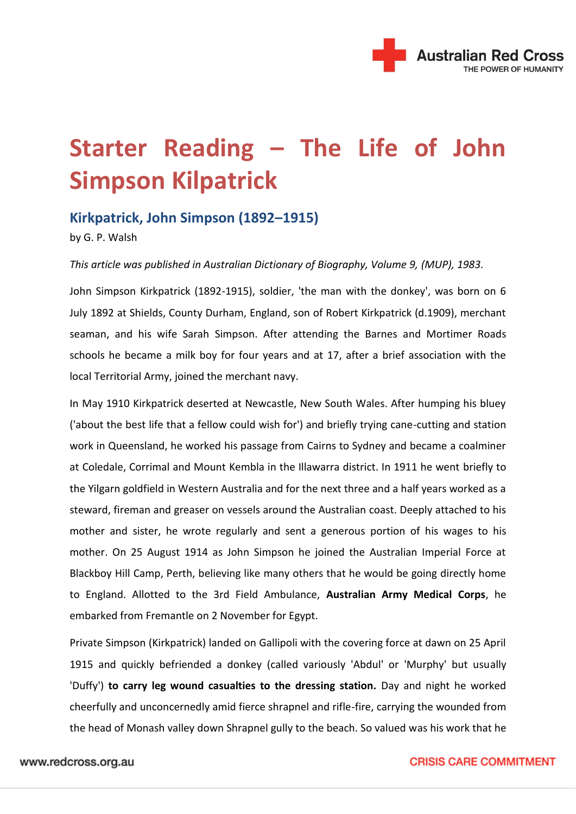

## **Starter Reading – The Life of John Simpson Kilpatrick**

## **Kirkpatrick, John Simpson (1892–1915)**

by G. P. Walsh

*This article was published in Australian Dictionary of Biography, Volume 9, (MUP), 1983.*

John Simpson Kirkpatrick (1892-1915), soldier, 'the man with the donkey', was born on 6 July 1892 at Shields, County Durham, England, son of Robert Kirkpatrick (d.1909), merchant seaman, and his wife Sarah Simpson. After attending the Barnes and Mortimer Roads schools he became a milk boy for four years and at 17, after a brief association with the local Territorial Army, joined the merchant navy.

In May 1910 Kirkpatrick deserted at Newcastle, New South Wales. After humping his bluey ('about the best life that a fellow could wish for') and briefly trying cane-cutting and station work in Queensland, he worked his passage from Cairns to Sydney and became a coalminer at Coledale, Corrimal and Mount Kembla in the Illawarra district. In 1911 he went briefly to the Yilgarn goldfield in Western Australia and for the next three and a half years worked as a steward, fireman and greaser on vessels around the Australian coast. Deeply attached to his mother and sister, he wrote regularly and sent a generous portion of his wages to his mother. On 25 August 1914 as John Simpson he joined the Australian Imperial Force at Blackboy Hill Camp, Perth, believing like many others that he would be going directly home to England. Allotted to the 3rd Field Ambulance, **Australian Army Medical Corps**, he embarked from Fremantle on 2 November for Egypt.

Private Simpson (Kirkpatrick) landed on Gallipoli with the covering force at dawn on 25 April 1915 and quickly befriended a donkey (called variously 'Abdul' or 'Murphy' but usually 'Duffy') **to carry leg wound casualties to the dressing station.** Day and night he worked cheerfully and unconcernedly amid fierce shrapnel and rifle-fire, carrying the wounded from the head of Monash valley down Shrapnel gully to the beach. So valued was his work that he